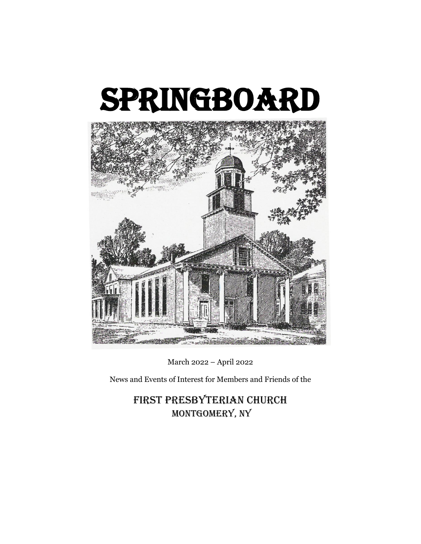



March 2022 – April 2022

News and Events of Interest for Members and Friends of the

First Presbyterian Church MONTGOMERY, NY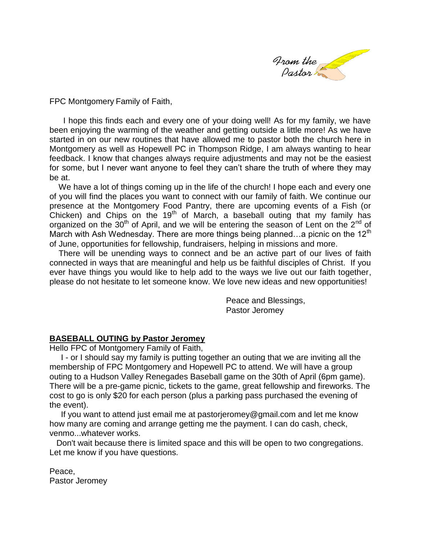

FPC Montgomery Family of Faith,

 I hope this finds each and every one of your doing well! As for my family, we have been enjoying the warming of the weather and getting outside a little more! As we have started in on our new routines that have allowed me to pastor both the church here in Montgomery as well as Hopewell PC in Thompson Ridge, I am always wanting to hear feedback. I know that changes always require adjustments and may not be the easiest for some, but I never want anyone to feel they can't share the truth of where they may be at.

We have a lot of things coming up in the life of the church! I hope each and every one of you will find the places you want to connect with our family of faith. We continue our presence at the Montgomery Food Pantry, there are upcoming events of a Fish (or Chicken) and Chips on the  $19<sup>th</sup>$  of March, a baseball outing that my family has organized on the 30<sup>th</sup> of April, and we will be entering the season of Lent on the 2<sup>nd</sup> of March with Ash Wednesday. There are more things being planned...a picnic on the 12<sup>th</sup> of June, opportunities for fellowship, fundraisers, helping in missions and more.

 There will be unending ways to connect and be an active part of our lives of faith connected in ways that are meaningful and help us be faithful disciples of Christ. If you ever have things you would like to help add to the ways we live out our faith together, please do not hesitate to let someone know. We love new ideas and new opportunities!

> Peace and Blessings, Pastor Jeromey

## **BASEBALL OUTING by Pastor Jeromey**

Hello FPC of Montgomery Family of Faith,

 I - or I should say my family is putting together an outing that we are inviting all the membership of FPC Montgomery and Hopewell PC to attend. We will have a group outing to a Hudson Valley Renegades Baseball game on the 30th of April (6pm game). There will be a pre-game picnic, tickets to the game, great fellowship and fireworks. The cost to go is only \$20 for each person (plus a parking pass purchased the evening of the event).

 If you want to attend just email me at pastorjeromey@gmail.com and let me know how many are coming and arrange getting me the payment. I can do cash, check, venmo...whatever works.

 Don't wait because there is limited space and this will be open to two congregations. Let me know if you have questions.

Peace, Pastor Jeromey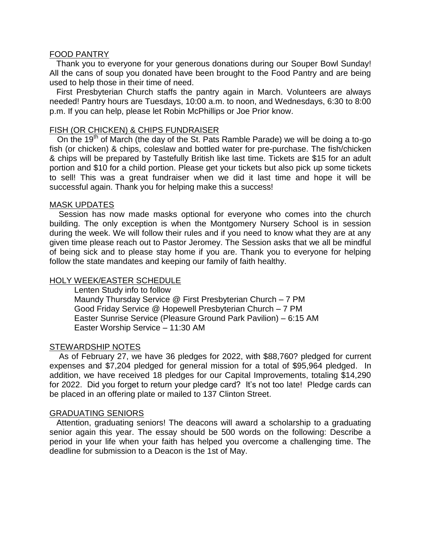## FOOD PANTRY

 Thank you to everyone for your generous donations during our Souper Bowl Sunday! All the cans of soup you donated have been brought to the Food Pantry and are being used to help those in their time of need.

 First Presbyterian Church staffs the pantry again in March. Volunteers are always needed! Pantry hours are Tuesdays, 10:00 a.m. to noon, and Wednesdays, 6:30 to 8:00 p.m. If you can help, please let Robin McPhillips or Joe Prior know.

## FISH (OR CHICKEN) & CHIPS FUNDRAISER

On the 19<sup>th</sup> of March (the day of the St. Pats Ramble Parade) we will be doing a to-go fish (or chicken) & chips, coleslaw and bottled water for pre-purchase. The fish/chicken & chips will be prepared by Tastefully British like last time. Tickets are \$15 for an adult portion and \$10 for a child portion. Please get your tickets but also pick up some tickets to sell! This was a great fundraiser when we did it last time and hope it will be successful again. Thank you for helping make this a success!

### MASK UPDATES

 Session has now made masks optional for everyone who comes into the church building. The only exception is when the Montgomery Nursery School is in session during the week. We will follow their rules and if you need to know what they are at any given time please reach out to Pastor Jeromey. The Session asks that we all be mindful of being sick and to please stay home if you are. Thank you to everyone for helping follow the state mandates and keeping our family of faith healthy.

## HOLY WEEK/EASTER SCHEDULE

Lenten Study info to follow Maundy Thursday Service @ First Presbyterian Church – 7 PM Good Friday Service @ Hopewell Presbyterian Church – 7 PM Easter Sunrise Service (Pleasure Ground Park Pavilion) – 6:15 AM Easter Worship Service – 11:30 AM

## STEWARDSHIP NOTES

 As of February 27, we have 36 pledges for 2022, with \$88,760? pledged for current expenses and \$7,204 pledged for general mission for a total of \$95,964 pledged. In addition, we have received 18 pledges for our Capital Improvements, totaling \$14,290 for 2022. Did you forget to return your pledge card? It's not too late! Pledge cards can be placed in an offering plate or mailed to 137 Clinton Street.

## GRADUATING SENIORS

 Attention, graduating seniors! The deacons will award a scholarship to a graduating senior again this year. The essay should be 500 words on the following: Describe a period in your life when your faith has helped you overcome a challenging time. The deadline for submission to a Deacon is the 1st of May.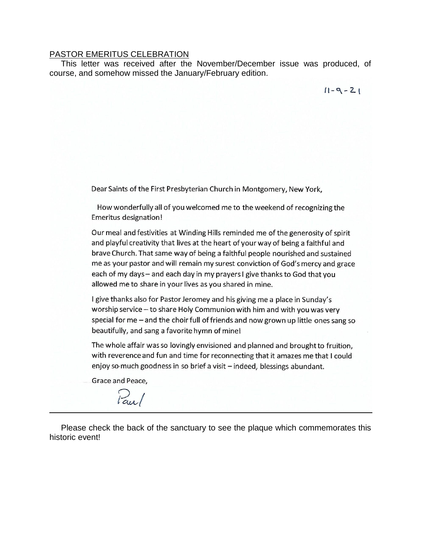#### PASTOR EMERITUS CELEBRATION

 This letter was received after the November/December issue was produced, of course, and somehow missed the January/February edition.

 $11 - 9 - 21$ 

Dear Saints of the First Presbyterian Church in Montgomery, New York,

How wonderfully all of you welcomed me to the weekend of recognizing the **Emeritus designation!** 

Our meal and festivities at Winding Hills reminded me of the generosity of spirit and playful creativity that lives at the heart of your way of being a faithful and brave Church. That same way of being a faithful people nourished and sustained me as your pastor and will remain my surest conviction of God's mercy and grace each of my days – and each day in my prayers I give thanks to God that you allowed me to share in your lives as you shared in mine.

I give thanks also for Pastor Jeromey and his giving me a place in Sunday's worship service - to share Holy Communion with him and with you was very special for me - and the choir full of friends and now grown up little ones sang so beautifully, and sang a favorite hymn of mine!

The whole affair was so lovingly envisioned and planned and brought to fruition, with reverence and fun and time for reconnecting that it amazes me that I could enjoy so much goodness in so brief a visit - indeed, blessings abundant.

Grace and Peace,

Paul

 Please check the back of the sanctuary to see the plaque which commemorates this historic event!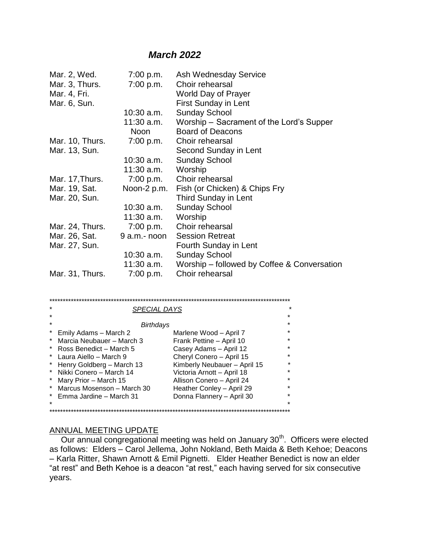# *March 2022*

| Mar. 2, Wed.    | 7:00 p.m.    | Ash Wednesday Service                       |
|-----------------|--------------|---------------------------------------------|
| Mar. 3, Thurs.  | 7:00 p.m.    | Choir rehearsal                             |
| Mar. 4, Fri.    |              | World Day of Prayer                         |
| Mar. 6, Sun.    |              | <b>First Sunday in Lent</b>                 |
|                 | $10:30$ a.m. | <b>Sunday School</b>                        |
|                 | 11:30 a.m.   | Worship - Sacrament of the Lord's Supper    |
|                 | <b>Noon</b>  | <b>Board of Deacons</b>                     |
| Mar. 10, Thurs. | 7:00 p.m.    | Choir rehearsal                             |
| Mar. 13, Sun.   |              | Second Sunday in Lent                       |
|                 | $10:30$ a.m. | <b>Sunday School</b>                        |
|                 | 11:30 a.m.   | Worship                                     |
| Mar. 17, Thurs. | 7:00 p.m.    | Choir rehearsal                             |
| Mar. 19, Sat.   | Noon-2 p.m.  | Fish (or Chicken) & Chips Fry               |
| Mar. 20, Sun.   |              | <b>Third Sunday in Lent</b>                 |
|                 | $10:30$ a.m. | <b>Sunday School</b>                        |
|                 | 11:30 a.m.   | Worship                                     |
| Mar. 24, Thurs. | 7:00 p.m.    | Choir rehearsal                             |
| Mar. 26, Sat.   | 9 a.m.- noon | <b>Session Retreat</b>                      |
| Mar. 27, Sun.   |              | <b>Fourth Sunday in Lent</b>                |
|                 | 10:30 a.m.   | <b>Sunday School</b>                        |
|                 | 11:30 a.m.   | Worship – followed by Coffee & Conversation |
| Mar. 31, Thurs. | 7:00 p.m.    | Choir rehearsal                             |

| *          | <b>SPECIAL DAYS</b>        |                              | *       |  |  |  |
|------------|----------------------------|------------------------------|---------|--|--|--|
| $\star$    |                            |                              | *       |  |  |  |
| $\star$    | Birthdays                  |                              | $\star$ |  |  |  |
| *          | Emily Adams - March 2      | Marlene Wood - April 7       | $\star$ |  |  |  |
| $^{\star}$ | Marcia Neubauer - March 3  | Frank Pettine - April 10     | ÷       |  |  |  |
| *          | Ross Benedict - March 5    | Casey Adams - April 12       | $\star$ |  |  |  |
| $\ast$     | Laura Aiello – March 9     | Cheryl Conero - April 15     | *       |  |  |  |
| $\ast$     | Henry Goldberg - March 13  | Kimberly Neubauer - April 15 | $\star$ |  |  |  |
| $\ast$     | - Nikki Conero – March 14  | Victoria Arnott - April 18   | ÷       |  |  |  |
| $\ast$     | Mary Prior - March 15      | Allison Conero - April 24    | ÷       |  |  |  |
| *          | Marcus Mosenson - March 30 | Heather Conley - April 29    | *       |  |  |  |
|            | * Emma Jardine - March 31  | Donna Flannery - April 30    | ÷       |  |  |  |
| *          |                            |                              | *       |  |  |  |
|            |                            |                              |         |  |  |  |

## ANNUAL MEETING UPDATE

**Our annual congregational meeting was held on January 30<sup>th</sup>. Officers were elected** as follows: Elders – Carol Jellema, John Nokland, Beth Maida & Beth Kehoe; Deacons – Karla Ritter, Shawn Arnott & Emil Pignetti. Elder Heather Benedict is now an elder "at rest" and Beth Kehoe is a deacon "at rest," each having served for six consecutive years.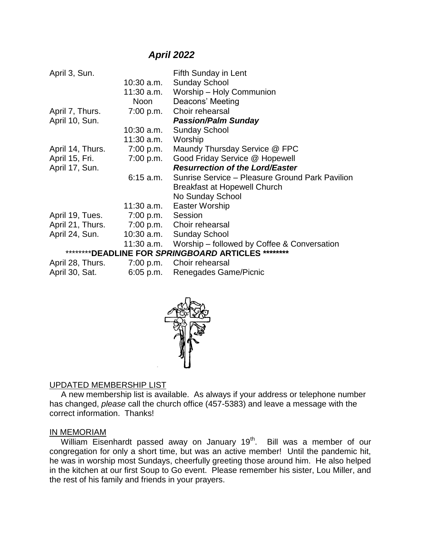# *April 2022*

| April 3, Sun.                                       |                   | Fifth Sunday in Lent                                   |  |  |
|-----------------------------------------------------|-------------------|--------------------------------------------------------|--|--|
|                                                     | 10:30 a.m.        | <b>Sunday School</b>                                   |  |  |
|                                                     | 11:30 a.m.        | Worship - Holy Communion                               |  |  |
|                                                     | Noon              | Deacons' Meeting                                       |  |  |
| April 7, Thurs.                                     | 7:00 p.m.         | Choir rehearsal                                        |  |  |
| April 10, Sun.                                      |                   | <b>Passion/Palm Sunday</b>                             |  |  |
|                                                     | $10:30$ a.m.      | <b>Sunday School</b>                                   |  |  |
|                                                     | 11:30 a.m.        | Worship                                                |  |  |
| April 14, Thurs.                                    | 7:00 p.m.         | Maundy Thursday Service @ FPC                          |  |  |
| April 15, Fri.                                      | 7:00 p.m.         | Good Friday Service @ Hopewell                         |  |  |
| April 17, Sun.                                      |                   | <b>Resurrection of the Lord/Easter</b>                 |  |  |
|                                                     | 6:15 a.m.         | Sunrise Service - Pleasure Ground Park Pavilion        |  |  |
|                                                     |                   | <b>Breakfast at Hopewell Church</b>                    |  |  |
|                                                     |                   | No Sunday School                                       |  |  |
|                                                     | $11:30$ a.m.      | Easter Worship                                         |  |  |
| April 19, Tues.                                     | 7:00 p.m. Session |                                                        |  |  |
| April 21, Thurs.                                    |                   | 7:00 p.m. Choir rehearsal                              |  |  |
| April 24, Sun.                                      | $10:30$ a.m.      | <b>Sunday School</b>                                   |  |  |
|                                                     |                   | 11:30 a.m. Worship - followed by Coffee & Conversation |  |  |
| *********DEADLINE FOR SPRINGBOARD ARTICLES ******** |                   |                                                        |  |  |
| April 28, Thurs. 7:00 p.m. Choir rehearsal          |                   |                                                        |  |  |
| April 30, Sat.                                      | $6:05$ p.m.       | Renegades Game/Picnic                                  |  |  |
|                                                     |                   |                                                        |  |  |



## UPDATED MEMBERSHIP LIST

 A new membership list is available. As always if your address or telephone number has changed, *please* call the church office (457-5383) and leave a message with the correct information. Thanks!

## IN MEMORIAM

William Eisenhardt passed away on January 19<sup>th</sup>. Bill was a member of our congregation for only a short time, but was an active member! Until the pandemic hit, he was in worship most Sundays, cheerfully greeting those around him. He also helped in the kitchen at our first Soup to Go event. Please remember his sister, Lou Miller, and the rest of his family and friends in your prayers.